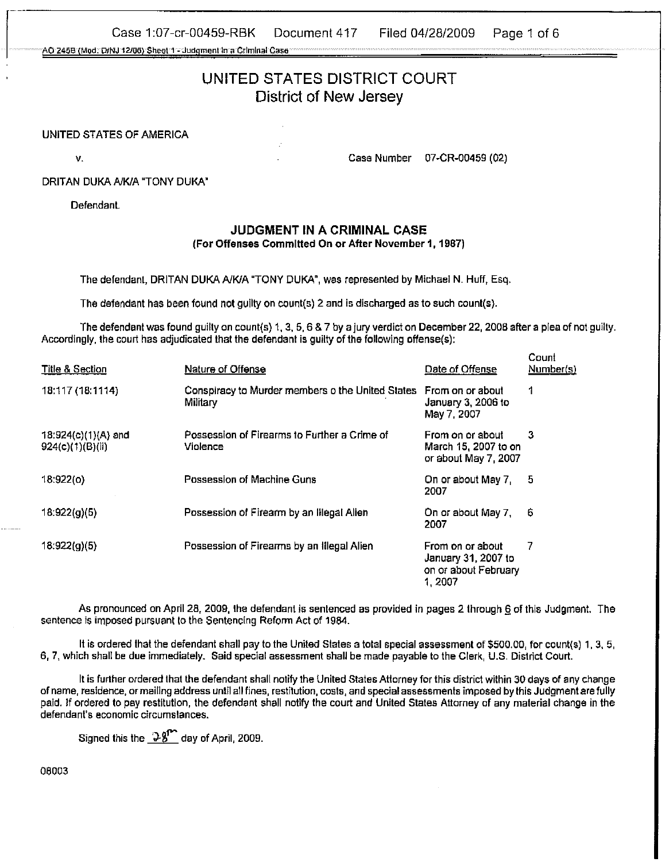Case 1:07-cr-00459-RBK Document 417 Filed 04/28/2009 Page 1 of 6

AO 2458 (Mod. D/NJ 12/06) Sheet 1 - Judgment in a Criminal Case

# UNITED STATES DISTRICT COURT District of New Jersey

#### UNITED STATES OF AMERICA

v. Case Number 07-CR-00459 (02)

DRITAN DUKA A/K/A "TONY DUKA"

Defendant.

## **JUDGMENT IN A CRIMINAL CASE**

(For Offenses Commltted **On** or After November **I,** 1987)

The defendant, DRITAN DUKA A/K/A "TONY DUKA", was represented by Michael N. Huff, Esq.

The defendant has been found not guilty on count(s)  $2$  and is discharged as to such count(s).

The defendant was found guilty on count(s) **1. 3.** 5.6 8 7 by a jury verdict on December 22, 2008 after a plea of not guilty. Accordingly, the court has adjudicated that the defendant is guilty of the following offense(s):

| <b>Title &amp; Section</b>              | Nature of Offense                                                             | Date of Offense                                                           | Count<br>Number(s) |
|-----------------------------------------|-------------------------------------------------------------------------------|---------------------------------------------------------------------------|--------------------|
| 18:117 (18:1114)                        | Conspiracy to Murder members o the United States From on or about<br>Military | January 3, 2006 to<br>May 7, 2007                                         | 1                  |
| 18:924(c)(1)(A) and<br>924(c)(1)(B)(ii) | Possession of Firearms to Further a Crime of<br>Violence                      | From on or about<br>March 15, 2007 to on<br>or about May 7, 2007          | 3                  |
| 18:922(o)                               | Possession of Machine Guns                                                    | On or about May 7.<br>2007                                                | -5                 |
| 18:922(g)(5)                            | Possession of Firearm by an Illegal Alien                                     | On or about May 7.<br>2007                                                | 6                  |
| 18:922(g)(5)                            | Possession of Firearms by an Illegal Alien                                    | From on or about<br>January 31, 2007 to<br>on or about February<br>1.2007 | 7                  |

As pronounced on April 28.2008, the defendant is sentenced as provided in pages 2 through 6 of this Judgment. The sentence is imposed pursuant to the Sentencing Reform Act of 1984.

It is ordered that the defendant shall pay to the United States a total special assessment of \$500.00, for count(s) 1, 3, 5, 6, 7, which shall be due immediately. Said special assessment shall be made payable to the Clerk, U.S. District Court.

It is further ordered that the defendant shall notify the United States Attorney for this district within 30 days of any change of name, residence, or mailing address until all fines, restitution, costs, and special assessments imposed by this Judgment are fully paid. If ordered to pay restitution, the defendant shall notify the court and United States Anorney of any material change in the defendant's economic circumstances.

Signed this the  $\frac{9.8}{10}$  day of April, 2009.

08003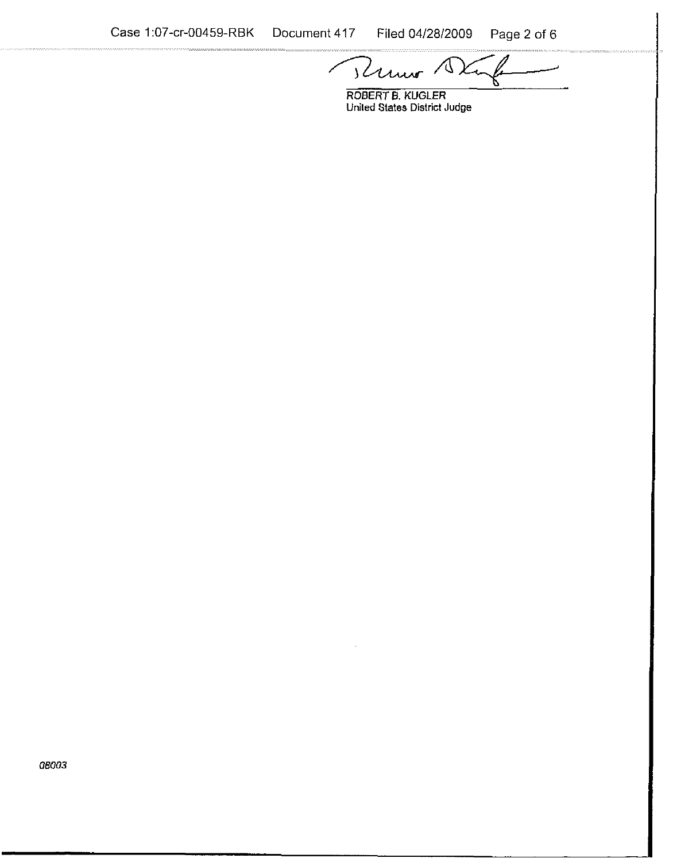Runo 1

**ROBERT 6. KUGLER United States District Judge** 

08003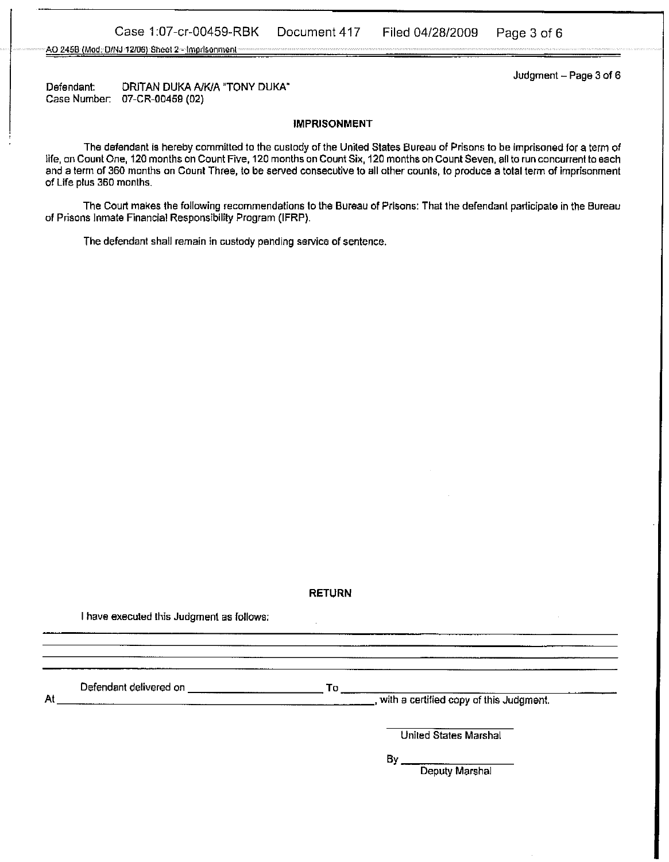AO 245B (Mod. D/NJ-12/06) Sheet 2-- Imprisonment-

Judgment - Page 3 of **<sup>6</sup>**

Defendant: DRiTAN DUKA **AIKIA** "TONY DUKA" Case Number. 07-CR-00459 (02)

#### **IMPRISONMENT**

The defendant is hereby committed to the custody of the United States Bureau of Prisons to be imprisoned for a term of life, on Count One, 120 months on Count Five, 120 months on Count Six, 120 months on Count Seven, all to run concurrent to each and a term of 360 months on Count Three, to be served consecutive to all other counts, to produce a total term of imprisonment of Life plus 360 months.

The Court makes the following recommendations to the Bureau of Prisons: That the defendant parlicipate in the Bureau of Prisons Inmate Financial Responsibility Program (IFRP).

The defendant shall remain in custody pending service of sentence.

#### **RETURN**

 $\cdot$ 

I have executed this Judgment as follows;

Defendant delivered on To

At with a certified copy of this Judgment.

United States Marshal

**BY** 

Deputy Marshal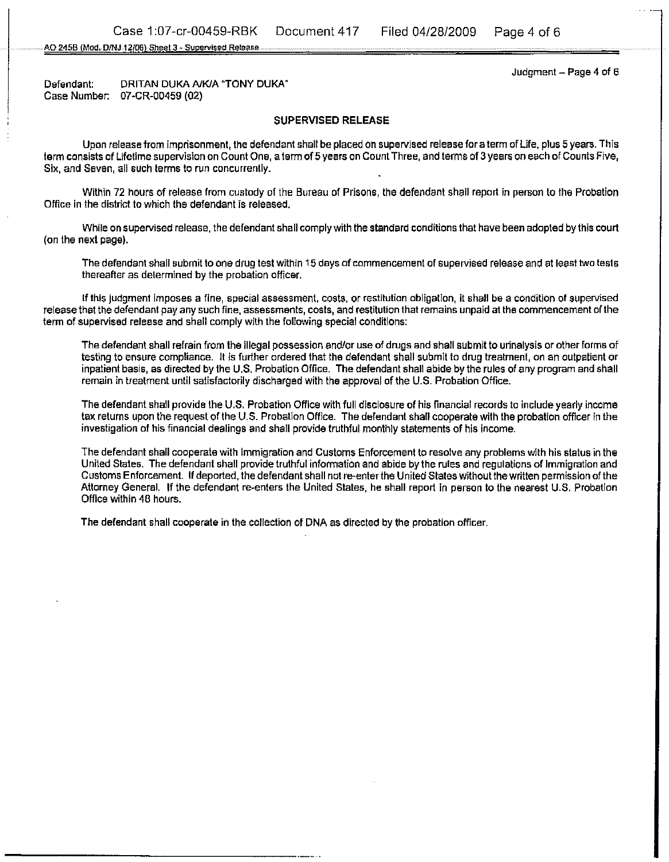AO 245B (Mod. D/NJ 12/06) Sheet 3 - Supervised Release

Judgment  $-$  Page 4 of 6

Defendant: DRITAN DUKA A/K/A "TONY DUKA" Case Number: **07-CR-00459 (02)** 

#### **SUPERVISED RELEASE**

Upon release from imprisonment, the defendant shall be placed on supervised release for a term of Life, plus 5 years. This term consists of Lifetime supervision on Count One, a term of **5** years on Count Three, and terms of 3 years on each of Counts Five, Six, and Seven, all such terms to **run** concurrently.

Within 72 hours of release from custody of the Bureau of Prisons, the defendant shail report in person to the Probation Office in the district to which the defendant is released.

While onsupervised release, the defendant shall comply with the standard conditions that have been adopted by this court (on the next page).

The defendant shail submit to one drug test within 15 deys of commencement of supervised release and at least two tests thereafter as determined by the probation officer.

If this judgment imposes a fine, special assessment, costs, or restitution obligation, it shall be a condition of supervised release that the defendant pay any such fine, assessments, costs, and restitution that remains unpaid at the commencement of the term of supervised release and shall comply with the following special conditions:

The defendant shall refrain from the illegal possession and/or use of dwgs and shall submit to urinalysis or other forms of testing to ensure compliance. It is further ordered that the defendant shall submit to drug treatment, on an outpatient or inpatient basis, as directed by the U.S. Probation Office. The defendant shall abide by the rules of any program and shall remain in treatment until satisfactorily discharged with the approval of the U.S. Probation Office.

The defendant shail provide the U.S. Probation Office with full disclosure of his financial records to include yearly income tax returns upon the request of the U.S. Probation Office. The defendant shall cooperate with the probation officer in the investigation of his financial dealings and shail provide truthful monthly statements of his income.

The defendant shall cooperate with immigration and Customs Enforcement to resolve any problems with his status in the United States. The defendant shall provide truthful information and abide by the rules and regulations of Immigration and Customs Enforcement. If deported, the defendant shall not re-enter the United States without the written permission of the Attorney General. If the defendant re-enters the United States, he shall report in person to the nearest U.S. Probation Oflice within 48 hours.

The defendant shall cooperate in the collection of DNA as directed by the probation officer.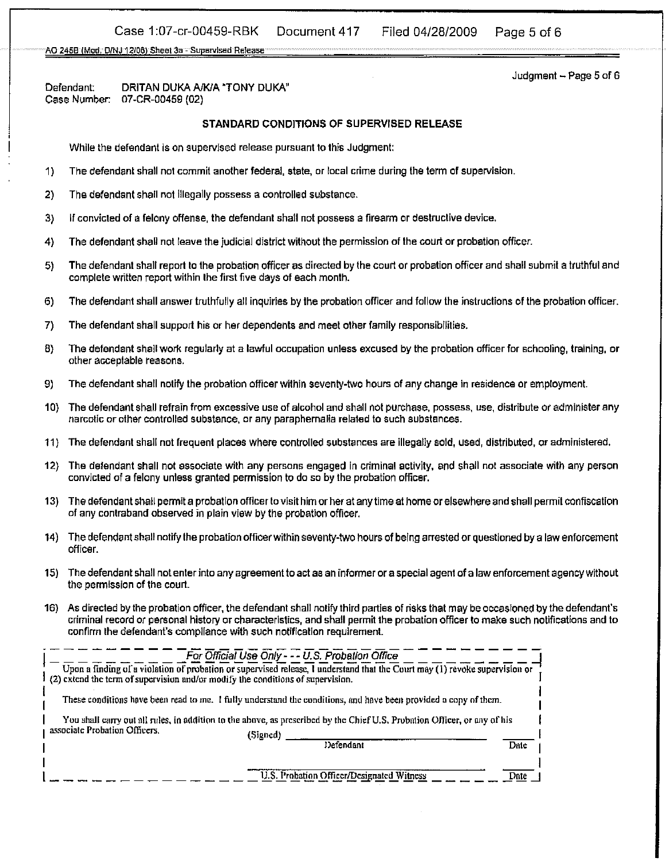### Case 1:07-cr-00459-RBK Document 417 Filed 04/28/2009 Page 5 of 6

AO 245B (Mod. D/NJ 12/06) Sheet 3a - Supervised Release

Defendant: DRITAN DUKA A/K/A "TONY DUKA"<br>Case Number: 07-CR-00459 (02) 07-CR-00459 (02)

#### **STANDARD** CONDITIONS **OF** SUPERVISED **RELEASE**

While the defendant is on supervised release pursuant to this Judgment:

- 1) The defendant shall not commit another federal, state, or local crime during the term of supervision.
- **2)** The defendant shail not illegally possess a controlled substance.
- 3) if convicted of a felony offense, the defendant shall not possess a freann or destructive device.
- 4) The defendant shall not leave the judicial district without the permission of the court or probation officer
- **5)** The defendant shall report to the probation officer as directed by the court or probation officer and shall submit a truthful and complete written report within the first five days of each month.
- 6) The defendant shall answer truthfully all inquiries by the probation officer and follow the instructions of the probation officer.
- 7) The defendant shall support his or her dependents and meet other family responsibilities.
- **8)** The defendant shall work regularly at a lawful occupation unless excused by the probation officer for schooling, training, or other acceptable reasons.
- **9)** The defendant shall notify the probation officer within seventy-two hours of any change in residence or employment.
- 10) The defendant shall refrain from excessive use of alcohol and shall not purchase, possess, use, distribute or administer any narcotic or other controlled substance, or any paraphernalia related to such substances.
- 11) The defendant shall not frequent places where controlled substances are illegally sold, used, distributed, or administered.
- 12) The defendant shall not associate with any persons engaged in criminal activity, and shall not associate with any person convicted of a felony unless granted permission to do so by the probation officer.
- 13) The defendant shall permit a probation officer tovisit himor her at any time at home or elsewhere and shall permit confiscation of any contraband observed in plain view by the probation oflicer.
- 14) The defendant shall notify the probation officerwithin seventy-two hours of being arrested or questioned by a law enforcement officer.
- 15) The defendant shail not enter into any agreement to act as an informer or a special agent of a law enforcement agency without the permission of the courl.
- 16) As directed by the probation offlcer, the defendant shall notify third parties of risks that may be occasioned by the defendant's criminal record or personal history or characteristics, and shall permit the probation officer to make such notifications and to confirm the defendant's compilance with such notification requirement.

|                                                                                                                           | For Official Use Only - - - U.S. Probation Office                                                                           |      |  |
|---------------------------------------------------------------------------------------------------------------------------|-----------------------------------------------------------------------------------------------------------------------------|------|--|
| (2) extend the term of supervision and/or modify the conditions of supervision.                                           | Upon a finding of a violation of probation or supervised release, I understand that the Court may (1) revoke supervision or |      |  |
|                                                                                                                           | These conditions have been read to me. 1 fully understand the conditions, and have been provided a copy of them.            |      |  |
| You shall carry out all rules, in addition to the above, as prescribed by the Chief U.S. Probation Officer, or any of his |                                                                                                                             |      |  |
| associate Probation Officers.                                                                                             | (Signed)                                                                                                                    |      |  |
|                                                                                                                           | Defendant                                                                                                                   | Date |  |
|                                                                                                                           |                                                                                                                             |      |  |
|                                                                                                                           | U.S. Probation Officer/Designated Witness                                                                                   | Date |  |

 $Judgment - Page 5 of 6$